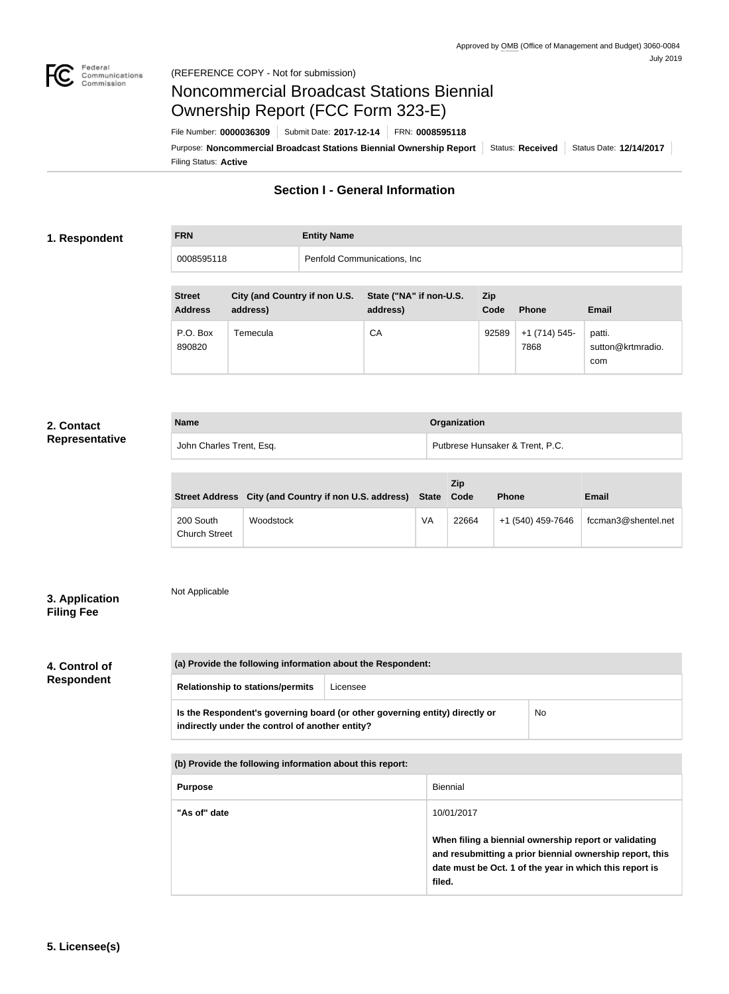

# Noncommercial Broadcast Stations Biennial Ownership Report (FCC Form 323-E)

Filing Status: **Active** Purpose: Noncommercial Broadcast Stations Biennial Ownership Report | Status: Received | Status Date: 12/14/2017 File Number: **0000036309** Submit Date: **2017-12-14** FRN: **0008595118**

## **Section I - General Information**

### **1. Respondent**

| <b>FRN</b> | <b>Entity Name</b>           |
|------------|------------------------------|
| 0008595118 | Penfold Communications, Inc. |
|            |                              |

| <b>Street</b><br><b>Address</b> | City (and Country if non U.S.<br>address) | State ("NA" if non-U.S.<br>address) | Zip<br>Code | <b>Phone</b>          | <b>Email</b>                       |
|---------------------------------|-------------------------------------------|-------------------------------------|-------------|-----------------------|------------------------------------|
| P.O. Box<br>890820              | Temecula                                  | СA                                  | 92589       | +1 (714) 545-<br>7868 | patti.<br>sutton@krtmradio.<br>com |

## **2. Contact Representative**

| <b>Name</b>              | Organization                    |  |
|--------------------------|---------------------------------|--|
| John Charles Trent, Esq. | Putbrese Hunsaker & Trent, P.C. |  |

|                                   | Street Address City (and Country if non U.S. address) State Code |    | <b>Zip</b> | <b>Phone</b>      | Email               |
|-----------------------------------|------------------------------------------------------------------|----|------------|-------------------|---------------------|
| 200 South<br><b>Church Street</b> | Woodstock                                                        | VA | 22664      | +1 (540) 459-7646 | fccman3@shentel.net |

## **3. Application Filing Fee**

## Not Applicable

# **4. Control of Respondent**

| (a) Provide the following information about the Respondent:                                                                    |          |    |  |
|--------------------------------------------------------------------------------------------------------------------------------|----------|----|--|
| <b>Relationship to stations/permits</b>                                                                                        | Licensee |    |  |
| Is the Respondent's governing board (or other governing entity) directly or<br>indirectly under the control of another entity? |          | No |  |

| (b) Provide the following information about this report: |                                                                                                                                                                                        |  |
|----------------------------------------------------------|----------------------------------------------------------------------------------------------------------------------------------------------------------------------------------------|--|
| <b>Purpose</b>                                           | Biennial                                                                                                                                                                               |  |
| "As of" date                                             | 10/01/2017                                                                                                                                                                             |  |
|                                                          | When filing a biennial ownership report or validating<br>and resubmitting a prior biennial ownership report, this<br>date must be Oct. 1 of the year in which this report is<br>filed. |  |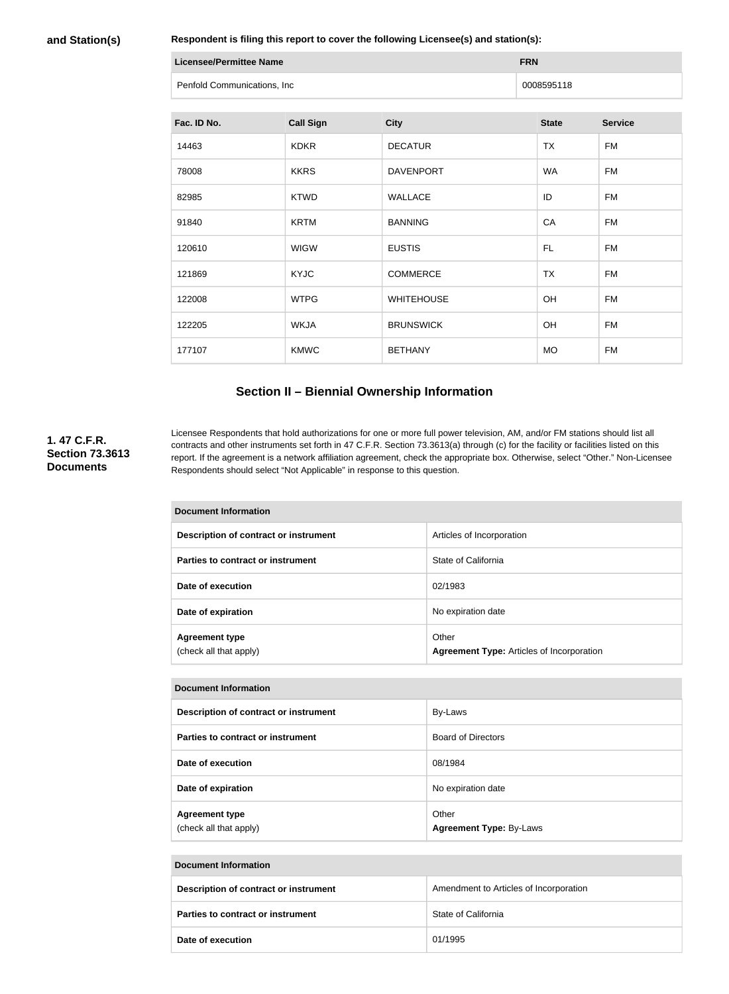#### **and Station(s)**

**Respondent is filing this report to cover the following Licensee(s) and station(s):**

| Licensee/Permittee Name     | <b>FRN</b> |
|-----------------------------|------------|
| Penfold Communications, Inc | 0008595118 |

| Fac. ID No. | <b>Call Sign</b> | <b>City</b>       | <b>State</b> | <b>Service</b> |
|-------------|------------------|-------------------|--------------|----------------|
| 14463       | <b>KDKR</b>      | <b>DECATUR</b>    | <b>TX</b>    | <b>FM</b>      |
| 78008       | <b>KKRS</b>      | <b>DAVENPORT</b>  | <b>WA</b>    | <b>FM</b>      |
| 82985       | <b>KTWD</b>      | <b>WALLACE</b>    | ID           | FM             |
| 91840       | <b>KRTM</b>      | <b>BANNING</b>    | CA           | <b>FM</b>      |
| 120610      | <b>WIGW</b>      | <b>EUSTIS</b>     | FL.          | FM             |
| 121869      | <b>KYJC</b>      | <b>COMMERCE</b>   | <b>TX</b>    | <b>FM</b>      |
| 122008      | <b>WTPG</b>      | <b>WHITEHOUSE</b> | OH           | <b>FM</b>      |
| 122205      | <b>WKJA</b>      | <b>BRUNSWICK</b>  | OH           | FM             |
| 177107      | <b>KMWC</b>      | <b>BETHANY</b>    | <b>MO</b>    | <b>FM</b>      |

## **Section II – Biennial Ownership Information**

#### **1. 47 C.F.R. Section 73.3613 Documents**

Licensee Respondents that hold authorizations for one or more full power television, AM, and/or FM stations should list all contracts and other instruments set forth in 47 C.F.R. Section 73.3613(a) through (c) for the facility or facilities listed on this report. If the agreement is a network affiliation agreement, check the appropriate box. Otherwise, select "Other." Non-Licensee Respondents should select "Not Applicable" in response to this question.

| <b>Document Information</b>                     |                                                           |  |
|-------------------------------------------------|-----------------------------------------------------------|--|
| Description of contract or instrument           | Articles of Incorporation                                 |  |
| Parties to contract or instrument               | State of California                                       |  |
| Date of execution                               | 02/1983                                                   |  |
| Date of expiration                              | No expiration date                                        |  |
| <b>Agreement type</b><br>(check all that apply) | Other<br><b>Agreement Type: Articles of Incorporation</b> |  |

#### **Document Information**

| Description of contract or instrument           | By-Laws                                 |
|-------------------------------------------------|-----------------------------------------|
| Parties to contract or instrument               | <b>Board of Directors</b>               |
| Date of execution                               | 08/1984                                 |
| Date of expiration                              | No expiration date                      |
| <b>Agreement type</b><br>(check all that apply) | Other<br><b>Agreement Type: By-Laws</b> |

#### **Document Information**

| Description of contract or instrument    | Amendment to Articles of Incorporation |
|------------------------------------------|----------------------------------------|
| <b>Parties to contract or instrument</b> | State of California                    |
| Date of execution                        | 01/1995                                |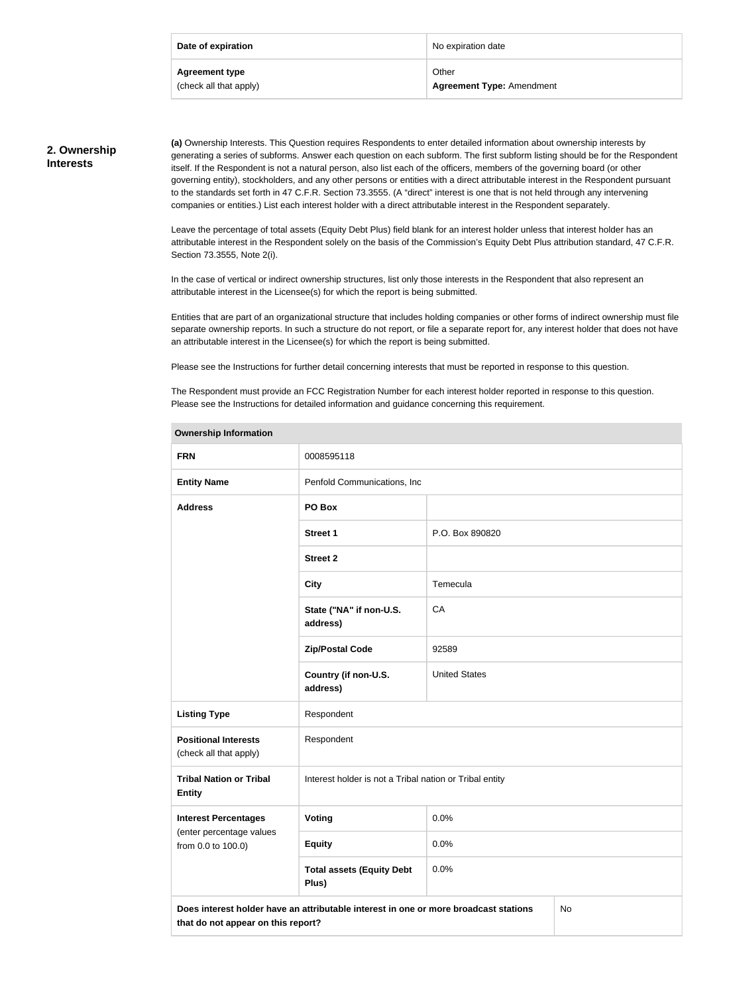| Date of expiration     | No expiration date               |
|------------------------|----------------------------------|
| <b>Agreement type</b>  | Other                            |
| (check all that apply) | <b>Agreement Type: Amendment</b> |

## **2. Ownership Interests**

**(a)** Ownership Interests. This Question requires Respondents to enter detailed information about ownership interests by generating a series of subforms. Answer each question on each subform. The first subform listing should be for the Respondent itself. If the Respondent is not a natural person, also list each of the officers, members of the governing board (or other governing entity), stockholders, and any other persons or entities with a direct attributable interest in the Respondent pursuant to the standards set forth in 47 C.F.R. Section 73.3555. (A "direct" interest is one that is not held through any intervening companies or entities.) List each interest holder with a direct attributable interest in the Respondent separately.

Leave the percentage of total assets (Equity Debt Plus) field blank for an interest holder unless that interest holder has an attributable interest in the Respondent solely on the basis of the Commission's Equity Debt Plus attribution standard, 47 C.F.R. Section 73.3555, Note 2(i).

In the case of vertical or indirect ownership structures, list only those interests in the Respondent that also represent an attributable interest in the Licensee(s) for which the report is being submitted.

Entities that are part of an organizational structure that includes holding companies or other forms of indirect ownership must file separate ownership reports. In such a structure do not report, or file a separate report for, any interest holder that does not have an attributable interest in the Licensee(s) for which the report is being submitted.

Please see the Instructions for further detail concerning interests that must be reported in response to this question.

The Respondent must provide an FCC Registration Number for each interest holder reported in response to this question. Please see the Instructions for detailed information and guidance concerning this requirement.

| <b>Ownership Information</b>                          |                                                                                      |                      |    |
|-------------------------------------------------------|--------------------------------------------------------------------------------------|----------------------|----|
| <b>FRN</b>                                            | 0008595118                                                                           |                      |    |
| <b>Entity Name</b>                                    | Penfold Communications, Inc.                                                         |                      |    |
| <b>Address</b>                                        | PO Box                                                                               |                      |    |
|                                                       | <b>Street 1</b>                                                                      | P.O. Box 890820      |    |
|                                                       | <b>Street 2</b>                                                                      |                      |    |
|                                                       | <b>City</b>                                                                          | Temecula             |    |
|                                                       | State ("NA" if non-U.S.<br>address)                                                  | CA                   |    |
|                                                       | <b>Zip/Postal Code</b>                                                               | 92589                |    |
|                                                       | Country (if non-U.S.<br>address)                                                     | <b>United States</b> |    |
| <b>Listing Type</b>                                   | Respondent                                                                           |                      |    |
| <b>Positional Interests</b><br>(check all that apply) | Respondent                                                                           |                      |    |
| <b>Tribal Nation or Tribal</b><br><b>Entity</b>       | Interest holder is not a Tribal nation or Tribal entity                              |                      |    |
| <b>Interest Percentages</b>                           | Voting                                                                               | 0.0%                 |    |
| (enter percentage values<br>from 0.0 to 100.0)        | <b>Equity</b>                                                                        | 0.0%                 |    |
|                                                       | <b>Total assets (Equity Debt</b><br>Plus)                                            | 0.0%                 |    |
| that do not appear on this report?                    | Does interest holder have an attributable interest in one or more broadcast stations |                      | No |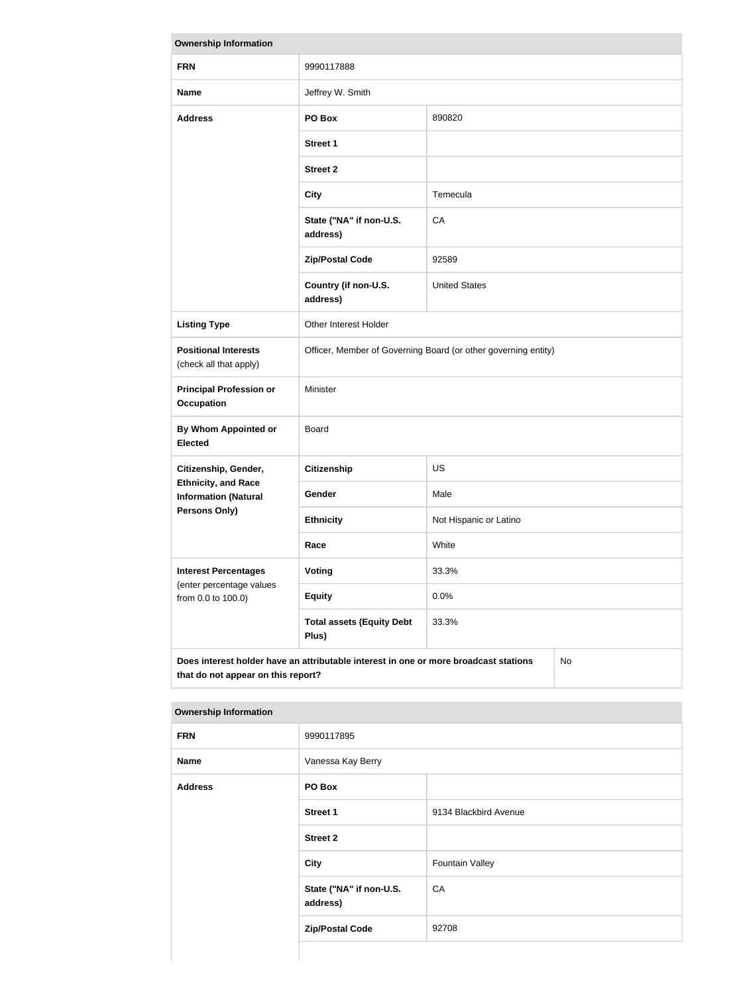| <b>Ownership Information</b>                                                                                                            |                                                                |                        |  |
|-----------------------------------------------------------------------------------------------------------------------------------------|----------------------------------------------------------------|------------------------|--|
| <b>FRN</b>                                                                                                                              | 9990117888                                                     |                        |  |
| <b>Name</b>                                                                                                                             | Jeffrey W. Smith                                               |                        |  |
| <b>Address</b>                                                                                                                          | PO Box<br>890820                                               |                        |  |
|                                                                                                                                         | <b>Street 1</b>                                                |                        |  |
|                                                                                                                                         | <b>Street 2</b>                                                |                        |  |
|                                                                                                                                         | <b>City</b>                                                    | Temecula               |  |
|                                                                                                                                         | State ("NA" if non-U.S.<br>address)                            | CA                     |  |
|                                                                                                                                         | <b>Zip/Postal Code</b>                                         | 92589                  |  |
|                                                                                                                                         | Country (if non-U.S.<br>address)                               | <b>United States</b>   |  |
| <b>Listing Type</b>                                                                                                                     | Other Interest Holder                                          |                        |  |
| <b>Positional Interests</b><br>(check all that apply)                                                                                   | Officer, Member of Governing Board (or other governing entity) |                        |  |
| <b>Principal Profession or</b><br><b>Occupation</b>                                                                                     | Minister                                                       |                        |  |
| <b>By Whom Appointed or</b><br><b>Elected</b>                                                                                           | Board                                                          |                        |  |
| Citizenship, Gender,                                                                                                                    | <b>Citizenship</b>                                             | <b>US</b>              |  |
| <b>Ethnicity, and Race</b><br><b>Information (Natural</b>                                                                               | Gender                                                         | Male                   |  |
| Persons Only)                                                                                                                           | <b>Ethnicity</b>                                               | Not Hispanic or Latino |  |
|                                                                                                                                         | Race                                                           | White                  |  |
| <b>Interest Percentages</b><br>(enter percentage values<br>from 0.0 to 100.0)                                                           | Voting                                                         | 33.3%                  |  |
|                                                                                                                                         | <b>Equity</b>                                                  | 0.0%                   |  |
|                                                                                                                                         | <b>Total assets (Equity Debt</b><br>Plus)                      | 33.3%                  |  |
| Does interest holder have an attributable interest in one or more broadcast stations<br><b>No</b><br>that do not appear on this report? |                                                                |                        |  |

| <b>Ownership Information</b> |                                     |                        |  |
|------------------------------|-------------------------------------|------------------------|--|
| <b>FRN</b>                   | 9990117895                          |                        |  |
| <b>Name</b>                  | Vanessa Kay Berry                   |                        |  |
| <b>Address</b>               | PO Box                              |                        |  |
|                              | <b>Street 1</b>                     | 9134 Blackbird Avenue  |  |
|                              | <b>Street 2</b>                     |                        |  |
|                              | City                                | <b>Fountain Valley</b> |  |
|                              | State ("NA" if non-U.S.<br>address) | CA                     |  |
|                              | <b>Zip/Postal Code</b>              | 92708                  |  |
|                              |                                     |                        |  |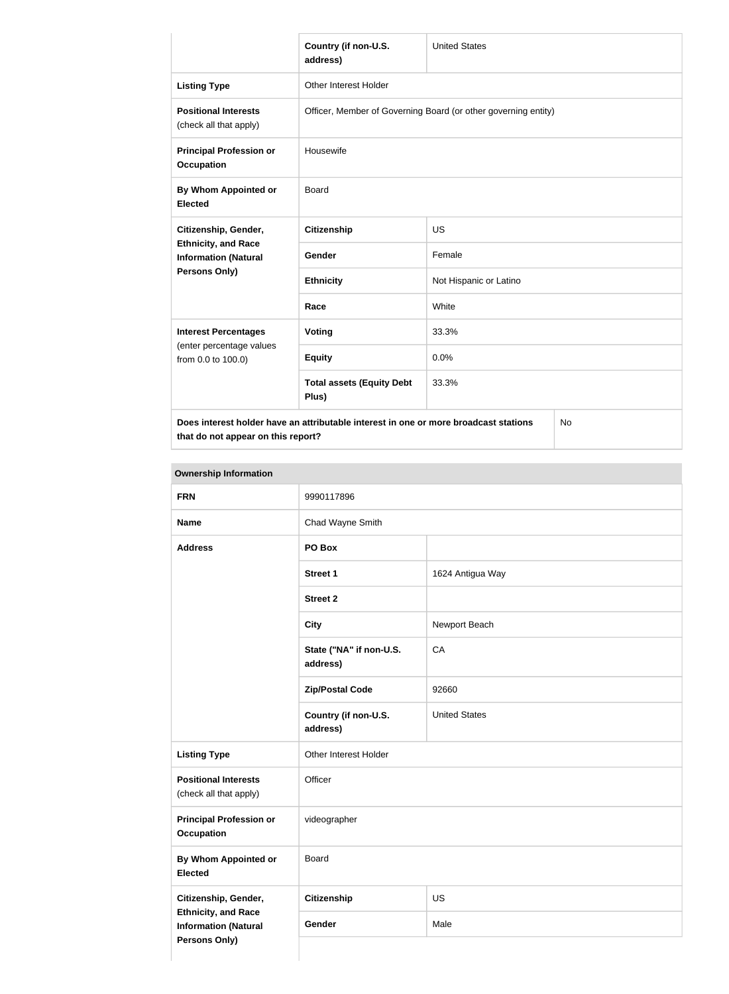|                                                                                                    | Country (if non-U.S.<br>address)                               | <b>United States</b>   |  |
|----------------------------------------------------------------------------------------------------|----------------------------------------------------------------|------------------------|--|
| <b>Listing Type</b>                                                                                | Other Interest Holder                                          |                        |  |
| <b>Positional Interests</b><br>(check all that apply)                                              | Officer, Member of Governing Board (or other governing entity) |                        |  |
| <b>Principal Profession or</b><br><b>Occupation</b>                                                | Housewife                                                      |                        |  |
| By Whom Appointed or<br><b>Elected</b>                                                             | <b>Board</b>                                                   |                        |  |
| Citizenship, Gender,<br><b>Ethnicity, and Race</b><br><b>Information (Natural</b><br>Persons Only) | <b>Citizenship</b>                                             | <b>US</b>              |  |
|                                                                                                    | Gender                                                         | Female                 |  |
|                                                                                                    | <b>Ethnicity</b>                                               | Not Hispanic or Latino |  |
|                                                                                                    | Race                                                           | White                  |  |
| <b>Interest Percentages</b><br>(enter percentage values<br>from 0.0 to 100.0)                      | Voting                                                         | 33.3%                  |  |
|                                                                                                    | <b>Equity</b>                                                  | 0.0%                   |  |
|                                                                                                    | <b>Total assets (Equity Debt</b><br>Plus)                      | 33.3%                  |  |
| Does interest holder have an attributable interest in one or more broadcast stations<br>No         |                                                                |                        |  |

**that do not appear on this report?**

No

| <b>FRN</b>                                                                 | 9990117896                          |                      |
|----------------------------------------------------------------------------|-------------------------------------|----------------------|
| <b>Name</b>                                                                | Chad Wayne Smith                    |                      |
| <b>Address</b>                                                             | PO Box                              |                      |
|                                                                            | <b>Street 1</b>                     | 1624 Antigua Way     |
|                                                                            | <b>Street 2</b>                     |                      |
|                                                                            | <b>City</b>                         | Newport Beach        |
|                                                                            | State ("NA" if non-U.S.<br>address) | CA                   |
|                                                                            | <b>Zip/Postal Code</b>              | 92660                |
|                                                                            | Country (if non-U.S.<br>address)    | <b>United States</b> |
| <b>Listing Type</b>                                                        | Other Interest Holder               |                      |
| <b>Positional Interests</b><br>(check all that apply)                      | Officer                             |                      |
| <b>Principal Profession or</b><br><b>Occupation</b>                        | videographer                        |                      |
| <b>By Whom Appointed or</b><br><b>Elected</b>                              | Board                               |                      |
| Citizenship, Gender,                                                       | <b>Citizenship</b>                  | US                   |
| <b>Ethnicity, and Race</b><br><b>Information (Natural</b><br>Persons Only) | Gender                              | Male                 |